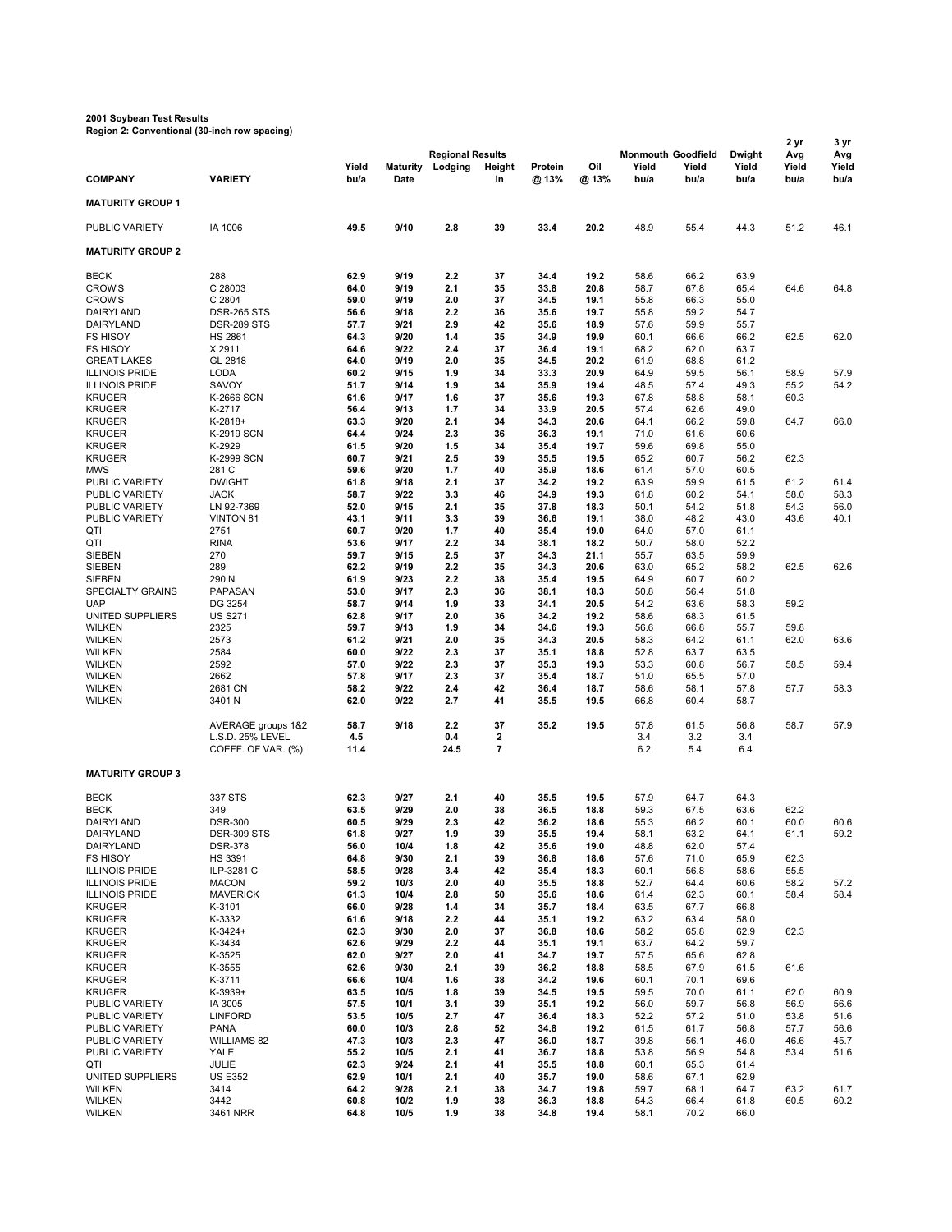## **2001 Soybean Test Results**

**Region 2: Conventional (30-inch row spacing)**

| <b>Region 2. Conventional (co-men row spacing</b><br>2 yr |                                        |              |                 |                                    |                     |              |              |                                    |              |                 |              |                      |
|-----------------------------------------------------------|----------------------------------------|--------------|-----------------|------------------------------------|---------------------|--------------|--------------|------------------------------------|--------------|-----------------|--------------|----------------------|
|                                                           |                                        | Yield        | <b>Maturity</b> | <b>Regional Results</b><br>Lodging | Height              | Protein      | Oil          | <b>Monmouth Goodfield</b><br>Yield | Yield        | Dwight<br>Yield | Avg<br>Yield | 3 yr<br>Avg<br>Yield |
| <b>COMPANY</b>                                            | <b>VARIETY</b>                         | bu/a         | Date            |                                    | in                  | @ 13%        | @ 13%        | bu/a                               | bu/a         | bu/a            | bu/a         | bu/a                 |
| <b>MATURITY GROUP 1</b>                                   |                                        |              |                 |                                    |                     |              |              |                                    |              |                 |              |                      |
| PUBLIC VARIETY                                            | IA 1006                                | 49.5         | 9/10            | 2.8                                | 39                  | 33.4         | 20.2         | 48.9                               | 55.4         | 44.3            | 51.2         | 46.1                 |
| <b>MATURITY GROUP 2</b>                                   |                                        |              |                 |                                    |                     |              |              |                                    |              |                 |              |                      |
| <b>BECK</b>                                               | 288                                    | 62.9         | 9/19            | 2.2                                | 37                  | 34.4         | 19.2         | 58.6                               | 66.2         | 63.9            |              |                      |
| <b>CROW'S</b>                                             | C 28003                                | 64.0         | 9/19            | 2.1                                | 35                  | 33.8         | 20.8         | 58.7                               | 67.8         | 65.4            | 64.6         | 64.8                 |
| <b>CROW'S</b>                                             | C 2804<br><b>DSR-265 STS</b>           | 59.0<br>56.6 | 9/19<br>9/18    | 2.0<br>2.2                         | 37<br>36            | 34.5<br>35.6 | 19.1<br>19.7 | 55.8<br>55.8                       | 66.3<br>59.2 | 55.0<br>54.7    |              |                      |
| DAIRYLAND<br>DAIRYLAND                                    | <b>DSR-289 STS</b>                     | 57.7         | 9/21            | 2.9                                | 42                  | 35.6         | 18.9         | 57.6                               | 59.9         | 55.7            |              |                      |
| <b>FS HISOY</b>                                           | <b>HS 2861</b>                         | 64.3         | 9/20            | 1.4                                | 35                  | 34.9         | 19.9         | 60.1                               | 66.6         | 66.2            | 62.5         | 62.0                 |
| <b>FS HISOY</b>                                           | X 2911                                 | 64.6         | 9/22            | 2.4                                | 37                  | 36.4         | 19.1         | 68.2                               | 62.0         | 63.7            |              |                      |
| <b>GREAT LAKES</b>                                        | GL 2818                                | 64.0         | 9/19            | 2.0                                | 35                  | 34.5         | 20.2         | 61.9                               | 68.8         | 61.2            |              |                      |
| <b>ILLINOIS PRIDE</b>                                     | <b>LODA</b>                            | 60.2         | 9/15            | 1.9                                | 34                  | 33.3         | 20.9         | 64.9                               | 59.5         | 56.1            | 58.9         | 57.9                 |
| <b>ILLINOIS PRIDE</b>                                     | SAVOY                                  | 51.7         | 9/14            | 1.9                                | 34                  | 35.9         | 19.4         | 48.5                               | 57.4         | 49.3            | 55.2         | 54.2                 |
| <b>KRUGER</b><br><b>KRUGER</b>                            | <b>K-2666 SCN</b><br>K-2717            | 61.6<br>56.4 | 9/17<br>9/13    | 1.6<br>1.7                         | 37<br>34            | 35.6<br>33.9 | 19.3<br>20.5 | 67.8<br>57.4                       | 58.8<br>62.6 | 58.1<br>49.0    | 60.3         |                      |
| <b>KRUGER</b>                                             | $K-2818+$                              | 63.3         | 9/20            | 2.1                                | 34                  | 34.3         | 20.6         | 64.1                               | 66.2         | 59.8            | 64.7         | 66.0                 |
| <b>KRUGER</b>                                             | K-2919 SCN                             | 64.4         | 9/24            | 2.3                                | 36                  | 36.3         | 19.1         | 71.0                               | 61.6         | 60.6            |              |                      |
| <b>KRUGER</b>                                             | K-2929                                 | 61.5         | 9/20            | 1.5                                | 34                  | 35.4         | 19.7         | 59.6                               | 69.8         | 55.0            |              |                      |
| <b>KRUGER</b>                                             | <b>K-2999 SCN</b>                      | 60.7         | 9/21            | 2.5                                | 39                  | 35.5         | 19.5         | 65.2                               | 60.7         | 56.2            | 62.3         |                      |
| <b>MWS</b>                                                | 281 C                                  | 59.6         | 9/20            | 1.7                                | 40                  | 35.9         | 18.6         | 61.4                               | 57.0         | 60.5            |              |                      |
| PUBLIC VARIETY                                            | <b>DWIGHT</b>                          | 61.8         | 9/18            | 2.1                                | 37                  | 34.2         | 19.2         | 63.9                               | 59.9         | 61.5            | 61.2         | 61.4                 |
| PUBLIC VARIETY                                            | <b>JACK</b>                            | 58.7         | 9/22            | 3.3                                | 46                  | 34.9         | 19.3         | 61.8                               | 60.2         | 54.1            | 58.0         | 58.3                 |
| PUBLIC VARIETY<br>PUBLIC VARIETY                          | LN 92-7369<br><b>VINTON 81</b>         | 52.0<br>43.1 | 9/15<br>9/11    | 2.1<br>3.3                         | 35<br>39            | 37.8<br>36.6 | 18.3<br>19.1 | 50.1<br>38.0                       | 54.2<br>48.2 | 51.8<br>43.0    | 54.3<br>43.6 | 56.0<br>40.1         |
| QTI                                                       | 2751                                   | 60.7         | 9/20            | 1.7                                | 40                  | 35.4         | 19.0         | 64.0                               | 57.0         | 61.1            |              |                      |
| QTI                                                       | <b>RINA</b>                            | 53.6         | 9/17            | 2.2                                | 34                  | 38.1         | 18.2         | 50.7                               | 58.0         | 52.2            |              |                      |
| <b>SIEBEN</b>                                             | 270                                    | 59.7         | 9/15            | 2.5                                | 37                  | 34.3         | 21.1         | 55.7                               | 63.5         | 59.9            |              |                      |
| <b>SIEBEN</b>                                             | 289                                    | 62.2         | 9/19            | 2.2                                | 35                  | 34.3         | 20.6         | 63.0                               | 65.2         | 58.2            | 62.5         | 62.6                 |
| <b>SIEBEN</b>                                             | 290 N                                  | 61.9         | 9/23            | 2.2                                | 38                  | 35.4         | 19.5         | 64.9                               | 60.7         | 60.2            |              |                      |
| <b>SPECIALTY GRAINS</b>                                   | PAPASAN                                | 53.0         | 9/17            | 2.3                                | 36                  | 38.1         | 18.3         | 50.8                               | 56.4         | 51.8            |              |                      |
| <b>UAP</b><br>UNITED SUPPLIERS                            | DG 3254<br><b>US S271</b>              | 58.7<br>62.8 | 9/14<br>9/17    | 1.9<br>2.0                         | 33<br>36            | 34.1<br>34.2 | 20.5<br>19.2 | 54.2<br>58.6                       | 63.6<br>68.3 | 58.3<br>61.5    | 59.2         |                      |
| <b>WILKEN</b>                                             | 2325                                   | 59.7         | 9/13            | 1.9                                | 34                  | 34.6         | 19.3         | 56.6                               | 66.8         | 55.7            | 59.8         |                      |
| <b>WILKEN</b>                                             | 2573                                   | 61.2         | 9/21            | 2.0                                | 35                  | 34.3         | 20.5         | 58.3                               | 64.2         | 61.1            | 62.0         | 63.6                 |
| <b>WILKEN</b>                                             | 2584                                   | 60.0         | 9/22            | 2.3                                | 37                  | 35.1         | 18.8         | 52.8                               | 63.7         | 63.5            |              |                      |
| <b>WILKEN</b>                                             | 2592                                   | 57.0         | 9/22            | 2.3                                | 37                  | 35.3         | 19.3         | 53.3                               | 60.8         | 56.7            | 58.5         | 59.4                 |
| <b>WILKEN</b>                                             | 2662                                   | 57.8         | 9/17            | 2.3                                | 37                  | 35.4         | 18.7         | 51.0                               | 65.5         | 57.0            |              |                      |
| <b>WILKEN</b>                                             | 2681 CN                                | 58.2         | 9/22            | 2.4                                | 42                  | 36.4         | 18.7         | 58.6                               | 58.1         | 57.8            | 57.7         | 58.3                 |
| <b>WILKEN</b>                                             | 3401 N                                 | 62.0         | 9/22            | 2.7                                | 41                  | 35.5         | 19.5         | 66.8                               | 60.4         | 58.7            |              |                      |
|                                                           | AVERAGE groups 1&2                     | 58.7         | 9/18            | 2.2                                | 37                  | 35.2         | 19.5         | 57.8                               | 61.5         | 56.8            | 58.7         | 57.9                 |
|                                                           | L.S.D. 25% LEVEL<br>COEFF. OF VAR. (%) | 4.5<br>11.4  |                 | 0.4<br>24.5                        | 2<br>$\overline{7}$ |              |              | 3.4<br>6.2                         | 3.2<br>5.4   | 3.4<br>6.4      |              |                      |
| <b>MATURITY GROUP 3</b>                                   |                                        |              |                 |                                    |                     |              |              |                                    |              |                 |              |                      |
|                                                           |                                        |              |                 |                                    |                     |              |              |                                    |              |                 |              |                      |
| <b>BECK</b>                                               | 337 STS                                | 62.3         | 9/27            | 2.1                                | 40                  | 35.5         | 19.5         | 57.9                               | 64.7         | 64.3            |              |                      |
| <b>BECK</b><br>DAIRYLAND                                  | 349<br><b>DSR-300</b>                  | 63.5<br>60.5 | 9/29<br>9/29    | 2.0<br>2.3                         | 38<br>42            | 36.5<br>36.2 | 18.8<br>18.6 | 59.3<br>55.3                       | 67.5<br>66.2 | 63.6<br>60.1    | 62.2<br>60.0 | 60.6                 |
| DAIRYLAND                                                 | DSR-309 STS                            | 61.8         | 9/27            | 1.9                                | 39                  | 35.5         | 19.4         | 58.1                               | 63.2         | 64.1            | 61.1         | 59.2                 |
| DAIRYLAND                                                 | <b>DSR-378</b>                         | 56.0         | 10/4            | 1.8                                | 42                  | 35.6         | 19.0         | 48.8                               | 62.0         | 57.4            |              |                      |
| <b>FS HISOY</b>                                           | <b>HS 3391</b>                         | 64.8         | 9/30            | 2.1                                | 39                  | 36.8         | 18.6         | 57.6                               | 71.0         | 65.9            | 62.3         |                      |
| <b>ILLINOIS PRIDE</b>                                     | ILP-3281 C                             | 58.5         | 9/28            | 3.4                                | 42                  | 35.4         | 18.3         | 60.1                               | 56.8         | 58.6            | 55.5         |                      |
| <b>ILLINOIS PRIDE</b>                                     | <b>MACON</b>                           | 59.2         | 10/3            | 2.0                                | 40                  | 35.5         | 18.8         | 52.7                               | 64.4         | 60.6            | 58.2         | 57.2                 |
| <b>ILLINOIS PRIDE</b>                                     | <b>MAVERICK</b>                        | 61.3         | 10/4            | 2.8                                | 50                  | 35.6         | 18.6         | 61.4                               | 62.3         | 60.1            | 58.4         | 58.4                 |
| <b>KRUGER</b>                                             | K-3101                                 | 66.0         | 9/28            | 1.4                                | 34                  | 35.7         | 18.4         | 63.5                               | 67.7         | 66.8            |              |                      |
| <b>KRUGER</b><br><b>KRUGER</b>                            | K-3332<br>$K-3424+$                    | 61.6<br>62.3 | 9/18<br>9/30    | 2.2<br>2.0                         | 44<br>37            | 35.1<br>36.8 | 19.2<br>18.6 | 63.2<br>58.2                       | 63.4<br>65.8 | 58.0<br>62.9    | 62.3         |                      |
| <b>KRUGER</b>                                             | K-3434                                 | 62.6         | 9/29            | 2.2                                | 44                  | 35.1         | 19.1         | 63.7                               | 64.2         | 59.7            |              |                      |
| <b>KRUGER</b>                                             | K-3525                                 | 62.0         | 9/27            | 2.0                                | 41                  | 34.7         | 19.7         | 57.5                               | 65.6         | 62.8            |              |                      |
| <b>KRUGER</b>                                             | K-3555                                 | 62.6         | 9/30            | 2.1                                | 39                  | 36.2         | 18.8         | 58.5                               | 67.9         | 61.5            | 61.6         |                      |
| <b>KRUGER</b>                                             | K-3711                                 | 66.6         | 10/4            | 1.6                                | 38                  | 34.2         | 19.6         | 60.1                               | 70.1         | 69.6            |              |                      |
| <b>KRUGER</b>                                             | $K-3939+$                              | 63.5         | 10/5            | 1.8                                | 39                  | 34.5         | 19.5         | 59.5                               | 70.0         | 61.1            | 62.0         | 60.9                 |
| PUBLIC VARIETY                                            | IA 3005                                | 57.5         | 10/1            | 3.1                                | 39                  | 35.1         | 19.2         | 56.0                               | 59.7         | 56.8            | 56.9         | 56.6                 |
| PUBLIC VARIETY                                            | <b>LINFORD</b>                         | 53.5         | 10/5            | 2.7                                | 47                  | 36.4         | 18.3         | 52.2                               | 57.2         | 51.0            | 53.8         | 51.6                 |
| PUBLIC VARIETY<br>PUBLIC VARIETY                          | <b>PANA</b><br>WILLIAMS 82             | 60.0<br>47.3 | 10/3<br>10/3    | 2.8<br>2.3                         | 52<br>47            | 34.8<br>36.0 | 19.2<br>18.7 | 61.5<br>39.8                       | 61.7<br>56.1 | 56.8<br>46.0    | 57.7<br>46.6 | 56.6<br>45.7         |
| PUBLIC VARIETY                                            | YALE                                   | 55.2         | 10/5            | 2.1                                | 41                  | 36.7         | 18.8         | 53.8                               | 56.9         | 54.8            | 53.4         | 51.6                 |
| QTI                                                       | JULIE                                  | 62.3         | 9/24            | 2.1                                | 41                  | 35.5         | 18.8         | 60.1                               | 65.3         | 61.4            |              |                      |
| UNITED SUPPLIERS                                          | <b>US E352</b>                         | 62.9         | 10/1            | 2.1                                | 40                  | 35.7         | 19.0         | 58.6                               | 67.1         | 62.9            |              |                      |
| <b>WILKEN</b>                                             | 3414                                   | 64.2         | 9/28            | 2.1                                | 38                  | 34.7         | 19.8         | 59.7                               | 68.1         | 64.7            | 63.2         | 61.7                 |
| <b>WILKEN</b>                                             | 3442                                   | 60.8         | 10/2            | 1.9                                | 38                  | 36.3         | 18.8         | 54.3                               | 66.4         | 61.8            | 60.5         | 60.2                 |
| <b>WILKEN</b>                                             | 3461 NRR                               | 64.8         | 10/5            | 1.9                                | 38                  | 34.8         | 19.4         | 58.1                               | 70.2         | 66.0            |              |                      |